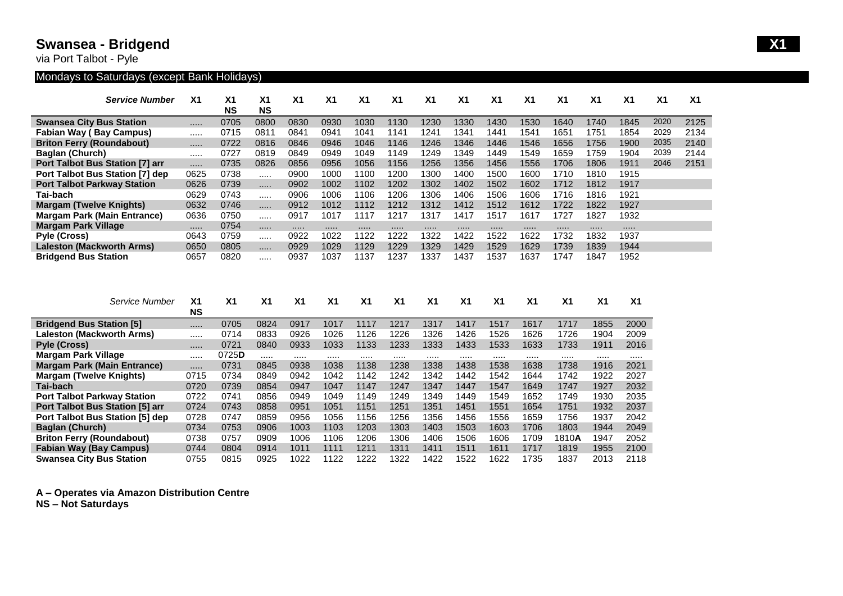## **Swansea - Bridgend X1**

via Port Talbot - Pyle

## Mondays to Saturdays (except Bank Holidays)

| <b>Service Number</b>              | X <sub>1</sub> | X <sub>1</sub> | X <sub>1</sub> | X <sub>1</sub> | X <sub>1</sub> | X <sub>1</sub> | X <sub>1</sub>  | X <sub>1</sub> | X <sub>1</sub> | X <sub>1</sub> | X <sub>1</sub> | X <sub>1</sub> | X <sub>1</sub> | X <sub>1</sub> | X <sub>1</sub> | X <sub>1</sub> |
|------------------------------------|----------------|----------------|----------------|----------------|----------------|----------------|-----------------|----------------|----------------|----------------|----------------|----------------|----------------|----------------|----------------|----------------|
|                                    |                | <b>NS</b>      | <b>NS</b>      |                |                |                |                 |                |                |                |                |                |                |                |                |                |
| <b>Swansea City Bus Station</b>    |                | 0705           | 0800           | 0830           | 0930           | 1030           | 1130            | 1230           | 1330           | 1430           | 1530           | 1640           | 1740           | 1845           | 2020           | 2125           |
| <b>Fabian Way (Bay Campus)</b>     |                | 0715           | 0811           | 0841           | 0941           | 1041           | 14 <sup>′</sup> | 1241           | 1341           | 441            | 1541           | 1651           | 1751           | 1854           | 2029           | 2134           |
| <b>Briton Ferry (Roundabout)</b>   |                | 0722           | 0816           | 0846           | 0946           | 1046           | 1146            | 1246           | 1346           | 1446           | 1546           | 1656           | 1756           | 1900           | 2035           | 2140           |
| Baglan (Church)                    |                | 0727           | 0819           | 0849           | 0949           | 1049           | 149             | 1249           | 1349           | 449            | 1549           | 1659           | 1759           | 1904           | 2039           | 2144           |
| Port Talbot Bus Station [7] arr    |                | 0735           | 0826           | 0856           | 0956           | 1056           | 1156            | 1256           | 1356           | 1456           | 1556           | 1706           | 1806           | 1911           | 2046           | 2151           |
| Port Talbot Bus Station [7] dep    | 0625           | 0738           |                | 0900           | 1000           | 1100           | 1200            | 1300           | 1400           | 1500           | 1600           | 1710           | 1810           | 1915           |                |                |
| <b>Port Talbot Parkway Station</b> | 0626           | 0739           |                | 0902           | 1002           | 1102           | 1202            | 1302           | 1402           | 1502           | 1602           | 1712           | 1812           | 1917           |                |                |
| Tai-bach                           | 0629           | 0743           |                | 0906           | 1006           | 1106           | 1206            | 1306           | 1406           | 1506           | 1606           | 1716           | 1816           | 1921           |                |                |
| <b>Margam (Twelve Knights)</b>     | 0632           | 0746           |                | 0912           | 1012           | 1112           | 1212            | 1312           | 1412           | 1512           | 1612           | 1722           | 1822           | 1927           |                |                |
| <b>Margam Park (Main Entrance)</b> | 0636           | 0750           |                | 0917           | 1017           | 117            | 1217            | 1317           | 1417           | 1517           | 1617           | 1727           | 1827           | 1932           |                |                |
| <b>Margam Park Village</b>         |                | 0754           |                |                |                |                |                 |                |                |                |                |                |                |                |                |                |
| Pyle (Cross)                       | 0643           | 0759           |                | 0922           | 1022           | 122            | 1222            | 1322           | 1422           | 1522           | 1622           | 1732           | 1832           | 1937           |                |                |
| <b>Laleston (Mackworth Arms)</b>   | 0650           | 0805           |                | 0929           | 1029           | 1129           | 1229            | 1329           | 1429           | 1529           | 1629           | 1739           | 1839           | 1944           |                |                |
| <b>Bridgend Bus Station</b>        | 0657           | 0820           |                | 0937           | 1037           | 137            | 1237            | 1337           | 1437           | 1537           | 1637           | 1747           | 1847           | 1952           |                |                |

| Service Number                         | X <sub>1</sub><br><b>NS</b> | X <sub>1</sub> | X <sub>1</sub> | X <sub>1</sub> | X <sub>1</sub> | X <sub>1</sub> | <b>X1</b> | X <sub>1</sub> | X <sub>1</sub> | X <sub>1</sub> | X <sub>1</sub> | X <sub>1</sub> | <b>X1</b> | <b>X1</b> |
|----------------------------------------|-----------------------------|----------------|----------------|----------------|----------------|----------------|-----------|----------------|----------------|----------------|----------------|----------------|-----------|-----------|
| <b>Bridgend Bus Station [5]</b>        |                             | 0705           | 0824           | 0917           | 1017           | 1117           | 1217      | 1317           | 1417           | 1517           | 1617           | 1717           | 1855      | 2000      |
| Laleston (Mackworth Arms)              | .                           | 0714           | 0833           | 0926           | 1026           | 1126           | 1226      | 1326           | 1426           | 1526           | 1626           | 1726           | 1904      | 2009      |
| <b>Pyle (Cross)</b>                    |                             | 0721           | 0840           | 0933           | 1033           | 1133           | 1233      | 1333           | 1433           | 1533           | 1633           | 1733           | 1911      | 2016      |
| <b>Margam Park Village</b>             |                             | 0725D          |                |                |                |                |           |                |                |                |                |                |           |           |
| <b>Margam Park (Main Entrance)</b>     |                             | 0731           | 0845           | 0938           | 1038           | 1138           | 1238      | 1338           | 1438           | 1538           | 1638           | 1738           | 1916      | 2021      |
| <b>Margam (Twelve Knights)</b>         | 0715                        | 0734           | 0849           | 0942           | 1042           | 1142           | 1242      | 1342           | 1442           | 1542           | 1644           | 1742           | 1922      | 2027      |
| Tai-bach                               | 0720                        | 0739           | 0854           | 0947           | 1047           | 1147           | 1247      | 1347           | 1447           | 1547           | 1649           | 1747           | 1927      | 2032      |
| <b>Port Talbot Parkway Station</b>     | 0722                        | 0741           | 0856           | 0949           | 1049           | 1149           | 1249      | 1349           | 1449           | 1549           | 1652           | 1749           | 1930      | 2035      |
| <b>Port Talbot Bus Station [5] arr</b> | 0724                        | 0743           | 0858           | 0951           | 1051           | 1151           | 1251      | 1351           | 1451           | 1551           | 1654           | 1751           | 1932      | 2037      |
| <b>Port Talbot Bus Station [5] dep</b> | 0728                        | 0747           | 0859           | 0956           | 1056           | 1156           | 1256      | 1356           | 1456           | 1556           | 1659           | 1756           | 1937      | 2042      |
| <b>Baglan (Church)</b>                 | 0734                        | 0753           | 0906           | 1003           | 1103           | 1203           | 1303      | 1403           | 1503           | 1603           | 1706           | 1803           | 1944      | 2049      |
| <b>Briton Ferry (Roundabout)</b>       | 0738                        | 0757           | 0909           | 1006           | 1106           | 1206           | 1306      | 1406           | 1506           | 1606           | 1709           | 1810 <b>A</b>  | 1947      | 2052      |
| <b>Fabian Way (Bay Campus)</b>         | 0744                        | 0804           | 0914           | 1011           | 1111           | 1211           | 1311      | 1411           | 1511           | 1611           | 1717           | 1819           | 1955      | 2100      |
| <b>Swansea City Bus Station</b>        | 0755                        | 0815           | 0925           | 1022           | 1122           | 1222           | 322       | 1422           | 1522           | 1622           | 1735           | 1837           | 2013      | 2118      |

**A – Operates via Amazon Distribution Centre**

**NS – Not Saturdays**